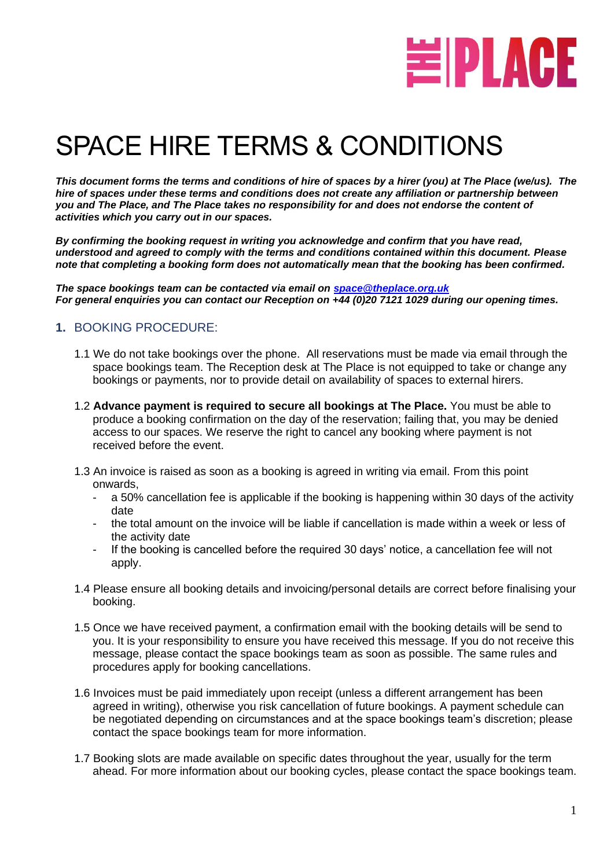

# SPACE HIRE TERMS & CONDITIONS

*This document forms the terms and conditions of hire of spaces by a hirer (you) at The Place (we/us). The hire of spaces under these terms and conditions does not create any affiliation or partnership between you and The Place, and The Place takes no responsibility for and does not endorse the content of activities which you carry out in our spaces.*

*By confirming the booking request in writing you acknowledge and confirm that you have read, understood and agreed to comply with the terms and conditions contained within this document. Please note that completing a booking form does not automatically mean that the booking has been confirmed.*

*The space bookings team can be contacted via email on [space@theplace.org.uk](mailto:space@theplace.org.uk) For general enquiries you can contact our Reception on +44 (0)20 7121 1029 during our opening times.*

#### **1.** BOOKING PROCEDURE:

- 1.1 We do not take bookings over the phone. All reservations must be made via email through the space bookings team. The Reception desk at The Place is not equipped to take or change any bookings or payments, nor to provide detail on availability of spaces to external hirers.
- 1.2 **Advance payment is required to secure all bookings at The Place.** You must be able to produce a booking confirmation on the day of the reservation; failing that, you may be denied access to our spaces. We reserve the right to cancel any booking where payment is not received before the event.
- 1.3 An invoice is raised as soon as a booking is agreed in writing via email. From this point onwards,
	- a 50% cancellation fee is applicable if the booking is happening within 30 days of the activity date
	- the total amount on the invoice will be liable if cancellation is made within a week or less of the activity date
	- If the booking is cancelled before the required 30 days' notice, a cancellation fee will not apply.
- 1.4 Please ensure all booking details and invoicing/personal details are correct before finalising your booking.
- 1.5 Once we have received payment, a confirmation email with the booking details will be send to you. It is your responsibility to ensure you have received this message. If you do not receive this message, please contact the space bookings team as soon as possible. The same rules and procedures apply for booking cancellations.
- 1.6 Invoices must be paid immediately upon receipt (unless a different arrangement has been agreed in writing), otherwise you risk cancellation of future bookings. A payment schedule can be negotiated depending on circumstances and at the space bookings team's discretion; please contact the space bookings team for more information.
- 1.7 Booking slots are made available on specific dates throughout the year, usually for the term ahead. For more information about our booking cycles, please contact the space bookings team.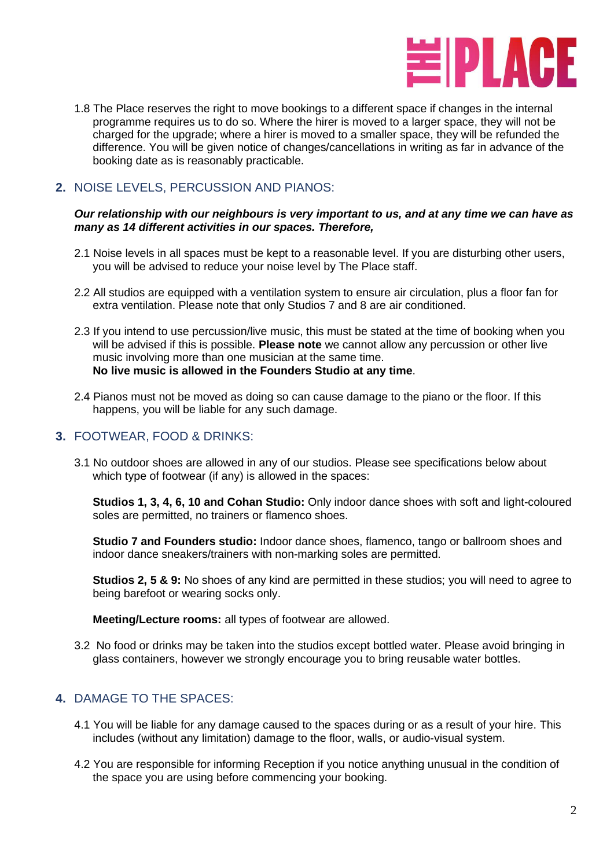

1.8 The Place reserves the right to move bookings to a different space if changes in the internal programme requires us to do so. Where the hirer is moved to a larger space, they will not be charged for the upgrade; where a hirer is moved to a smaller space, they will be refunded the difference. You will be given notice of changes/cancellations in writing as far in advance of the booking date as is reasonably practicable.

# **2.** NOISE LEVELS, PERCUSSION AND PIANOS:

#### *Our relationship with our neighbours is very important to us, and at any time we can have as many as 14 different activities in our spaces. Therefore,*

- 2.1 Noise levels in all spaces must be kept to a reasonable level. If you are disturbing other users, you will be advised to reduce your noise level by The Place staff.
- 2.2 All studios are equipped with a ventilation system to ensure air circulation, plus a floor fan for extra ventilation. Please note that only Studios 7 and 8 are air conditioned.
- 2.3 If you intend to use percussion/live music, this must be stated at the time of booking when you will be advised if this is possible. **Please note** we cannot allow any percussion or other live music involving more than one musician at the same time. **No live music is allowed in the Founders Studio at any time**.
- 2.4 Pianos must not be moved as doing so can cause damage to the piano or the floor. If this happens, you will be liable for any such damage.

#### **3.** FOOTWEAR, FOOD & DRINKS:

3.1 No outdoor shoes are allowed in any of our studios. Please see specifications below about which type of footwear (if any) is allowed in the spaces:

**Studios 1, 3, 4, 6, 10 and Cohan Studio:** Only indoor dance shoes with soft and light-coloured soles are permitted, no trainers or flamenco shoes.

**Studio 7 and Founders studio:** Indoor dance shoes, flamenco, tango or ballroom shoes and indoor dance sneakers/trainers with non-marking soles are permitted.

**Studios 2, 5 & 9:** No shoes of any kind are permitted in these studios; you will need to agree to being barefoot or wearing socks only.

**Meeting/Lecture rooms:** all types of footwear are allowed.

3.2 No food or drinks may be taken into the studios except bottled water. Please avoid bringing in glass containers, however we strongly encourage you to bring reusable water bottles.

## **4.** DAMAGE TO THE SPACES:

- 4.1 You will be liable for any damage caused to the spaces during or as a result of your hire. This includes (without any limitation) damage to the floor, walls, or audio-visual system.
- 4.2 You are responsible for informing Reception if you notice anything unusual in the condition of the space you are using before commencing your booking.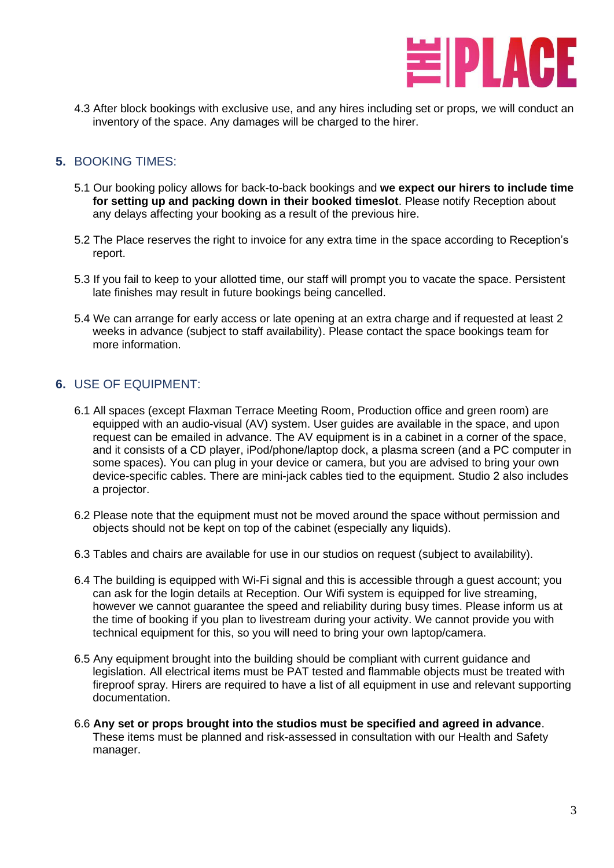

4.3 After block bookings with exclusive use, and any hires including set or props*,* we will conduct an inventory of the space. Any damages will be charged to the hirer.

#### **5.** BOOKING TIMES:

- 5.1 Our booking policy allows for back-to-back bookings and **we expect our hirers to include time for setting up and packing down in their booked timeslot**. Please notify Reception about any delays affecting your booking as a result of the previous hire.
- 5.2 The Place reserves the right to invoice for any extra time in the space according to Reception's report.
- 5.3 If you fail to keep to your allotted time, our staff will prompt you to vacate the space. Persistent late finishes may result in future bookings being cancelled.
- 5.4 We can arrange for early access or late opening at an extra charge and if requested at least 2 weeks in advance (subject to staff availability). Please contact the space bookings team for more information.

#### **6.** USE OF EQUIPMENT:

- 6.1 All spaces (except Flaxman Terrace Meeting Room, Production office and green room) are equipped with an audio-visual (AV) system. User guides are available in the space, and upon request can be emailed in advance. The AV equipment is in a cabinet in a corner of the space, and it consists of a CD player, iPod/phone/laptop dock, a plasma screen (and a PC computer in some spaces). You can plug in your device or camera, but you are advised to bring your own device-specific cables. There are mini-jack cables tied to the equipment. Studio 2 also includes a projector.
- 6.2 Please note that the equipment must not be moved around the space without permission and objects should not be kept on top of the cabinet (especially any liquids).
- 6.3 Tables and chairs are available for use in our studios on request (subject to availability).
- 6.4 The building is equipped with Wi-Fi signal and this is accessible through a guest account; you can ask for the login details at Reception. Our Wifi system is equipped for live streaming, however we cannot guarantee the speed and reliability during busy times. Please inform us at the time of booking if you plan to livestream during your activity. We cannot provide you with technical equipment for this, so you will need to bring your own laptop/camera.
- 6.5 Any equipment brought into the building should be compliant with current guidance and legislation. All electrical items must be PAT tested and flammable objects must be treated with fireproof spray. Hirers are required to have a list of all equipment in use and relevant supporting documentation.
- 6.6 **Any set or props brought into the studios must be specified and agreed in advance**. These items must be planned and risk-assessed in consultation with our Health and Safety manager.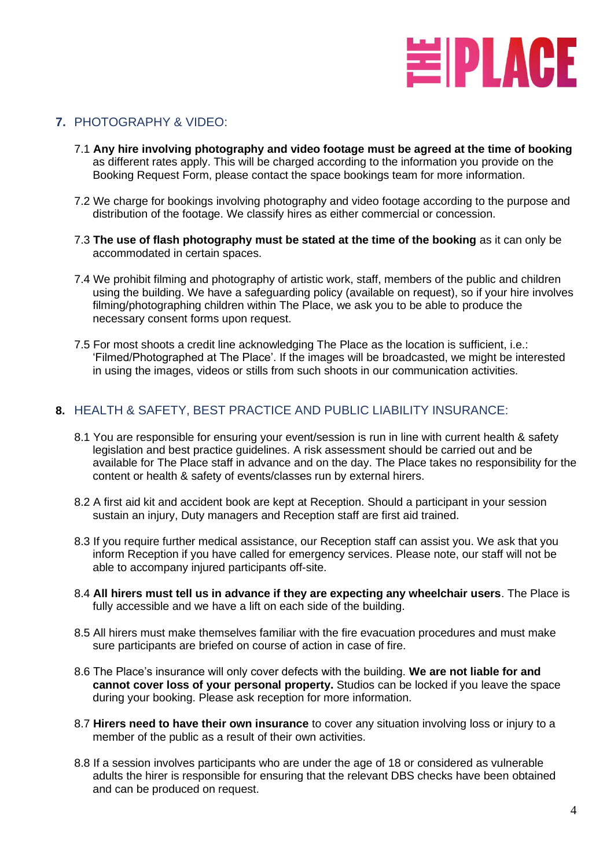

#### **7.** PHOTOGRAPHY & VIDEO:

- 7.1 **Any hire involving photography and video footage must be agreed at the time of booking** as different rates apply. This will be charged according to the information you provide on the Booking Request Form, please contact the space bookings team for more information.
- 7.2 We charge for bookings involving photography and video footage according to the purpose and distribution of the footage. We classify hires as either commercial or concession.
- 7.3 **The use of flash photography must be stated at the time of the booking** as it can only be accommodated in certain spaces.
- 7.4 We prohibit filming and photography of artistic work, staff, members of the public and children using the building. We have a safeguarding policy (available on request), so if your hire involves filming/photographing children within The Place, we ask you to be able to produce the necessary consent forms upon request.
- 7.5 For most shoots a credit line acknowledging The Place as the location is sufficient, i.e.: 'Filmed/Photographed at The Place'. If the images will be broadcasted, we might be interested in using the images, videos or stills from such shoots in our communication activities.

#### **8.** HEALTH & SAFETY, BEST PRACTICE AND PUBLIC LIABILITY INSURANCE:

- 8.1 You are responsible for ensuring your event/session is run in line with current health & safety legislation and best practice guidelines. A risk assessment should be carried out and be available for The Place staff in advance and on the day. The Place takes no responsibility for the content or health & safety of events/classes run by external hirers.
- 8.2 A first aid kit and accident book are kept at Reception. Should a participant in your session sustain an injury, Duty managers and Reception staff are first aid trained.
- 8.3 If you require further medical assistance, our Reception staff can assist you. We ask that you inform Reception if you have called for emergency services. Please note, our staff will not be able to accompany injured participants off-site.
- 8.4 **All hirers must tell us in advance if they are expecting any wheelchair users**. The Place is fully accessible and we have a lift on each side of the building.
- 8.5 All hirers must make themselves familiar with the fire evacuation procedures and must make sure participants are briefed on course of action in case of fire.
- 8.6 The Place's insurance will only cover defects with the building. **We are not liable for and cannot cover loss of your personal property.** Studios can be locked if you leave the space during your booking. Please ask reception for more information.
- 8.7 **Hirers need to have their own insurance** to cover any situation involving loss or injury to a member of the public as a result of their own activities.
- 8.8 If a session involves participants who are under the age of 18 or considered as vulnerable adults the hirer is responsible for ensuring that the relevant DBS checks have been obtained and can be produced on request.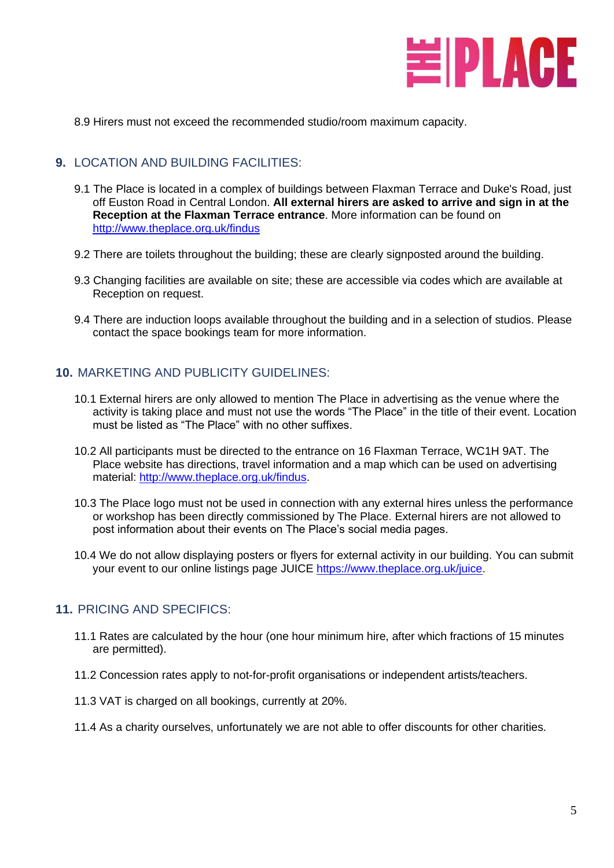

8.9 Hirers must not exceed the recommended studio/room maximum capacity.

#### **9.** LOCATION AND BUILDING FACILITIES:

- 9.1 The Place is located in a complex of buildings between Flaxman Terrace and Duke's Road, just off Euston Road in Central London. **All external hirers are asked to arrive and sign in at the Reception at the Flaxman Terrace entrance**. More information can be found on <http://www.theplace.org.uk/findus>
- 9.2 There are toilets throughout the building; these are clearly signposted around the building.
- 9.3 Changing facilities are available on site; these are accessible via codes which are available at Reception on request.
- 9.4 There are induction loops available throughout the building and in a selection of studios. Please contact the space bookings team for more information.

#### **10.** MARKETING AND PUBLICITY GUIDELINES:

- 10.1 External hirers are only allowed to mention The Place in advertising as the venue where the activity is taking place and must not use the words "The Place" in the title of their event. Location must be listed as "The Place" with no other suffixes.
- 10.2 All participants must be directed to the entrance on 16 Flaxman Terrace, WC1H 9AT. The Place website has directions, travel information and a map which can be used on advertising material: [http://www.theplace.org.uk/findus.](http://www.theplace.org.uk/findus)
- 10.3 The Place logo must not be used in connection with any external hires unless the performance or workshop has been directly commissioned by The Place. External hirers are not allowed to post information about their events on The Place's social media pages.
- 10.4 We do not allow displaying posters or flyers for external activity in our building. You can submit your event to our online listings page JUICE [https://www.theplace.org.uk/juice.](https://www.theplace.org.uk/juice)

#### **11.** PRICING AND SPECIFICS:

- 11.1 Rates are calculated by the hour (one hour minimum hire, after which fractions of 15 minutes are permitted).
- 11.2 Concession rates apply to not-for-profit organisations or independent artists/teachers.
- 11.3 VAT is charged on all bookings, currently at 20%.
- 11.4 As a charity ourselves, unfortunately we are not able to offer discounts for other charities.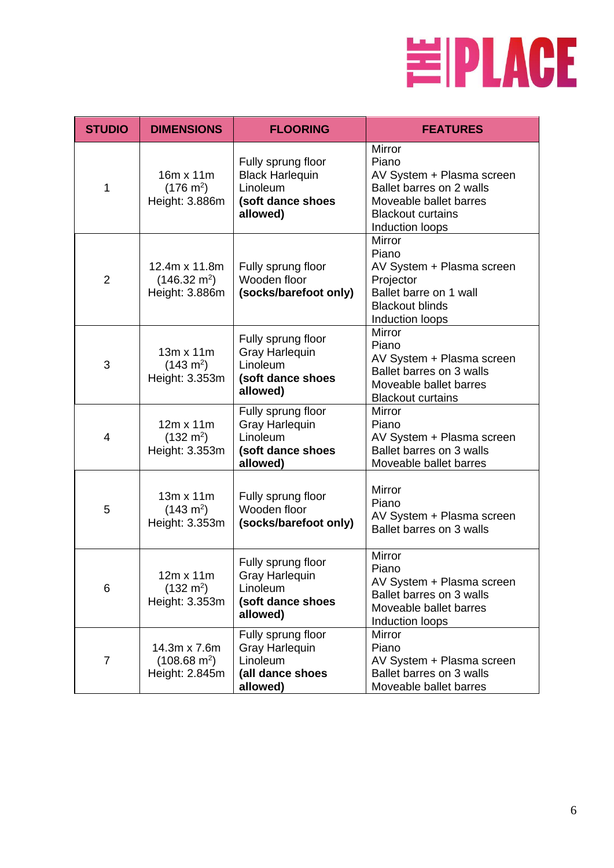

| <b>STUDIO</b>  | <b>DIMENSIONS</b>                                         | <b>FLOORING</b>                                                                           | <b>FEATURES</b>                                                                                                                                          |
|----------------|-----------------------------------------------------------|-------------------------------------------------------------------------------------------|----------------------------------------------------------------------------------------------------------------------------------------------------------|
| 1              | 16m x 11m<br>$(176 \text{ m}^2)$<br>Height: 3.886m        | Fully sprung floor<br><b>Black Harlequin</b><br>Linoleum<br>(soft dance shoes<br>allowed) | <b>Mirror</b><br>Piano<br>AV System + Plasma screen<br>Ballet barres on 2 walls<br>Moveable ballet barres<br><b>Blackout curtains</b><br>Induction loops |
| $\overline{2}$ | 12.4m x 11.8m<br>$(146.32 \text{ m}^2)$<br>Height: 3.886m | Fully sprung floor<br>Wooden floor<br>(socks/barefoot only)                               | <b>Mirror</b><br>Piano<br>AV System + Plasma screen<br>Projector<br>Ballet barre on 1 wall<br><b>Blackout blinds</b><br>Induction loops                  |
| 3              | $13m \times 11m$<br>$(143 \text{ m}^2)$<br>Height: 3.353m | Fully sprung floor<br><b>Gray Harlequin</b><br>Linoleum<br>(soft dance shoes<br>allowed)  | <b>Mirror</b><br>Piano<br>AV System + Plasma screen<br>Ballet barres on 3 walls<br>Moveable ballet barres<br><b>Blackout curtains</b>                    |
| $\overline{4}$ | $12m \times 11m$<br>$(132 \text{ m}^2)$<br>Height: 3.353m | Fully sprung floor<br><b>Gray Harlequin</b><br>Linoleum<br>(soft dance shoes<br>allowed)  | <b>Mirror</b><br>Piano<br>AV System + Plasma screen<br>Ballet barres on 3 walls<br>Moveable ballet barres                                                |
| 5              | 13m x 11m<br>$(143 \text{ m}^2)$<br>Height: 3.353m        | Fully sprung floor<br>Wooden floor<br>(socks/barefoot only)                               | Mirror<br>Piano<br>AV System + Plasma screen<br>Ballet barres on 3 walls                                                                                 |
| 6              | $12m \times 11m$<br>$(132 \text{ m}^2)$<br>Height: 3.353m | Fully sprung floor<br><b>Gray Harlequin</b><br>Linoleum<br>(soft dance shoes<br>allowed)  | Mirror<br>Piano<br>AV System + Plasma screen<br>Ballet barres on 3 walls<br>Moveable ballet barres<br>Induction loops                                    |
| $\overline{7}$ | 14.3m x 7.6m<br>$(108.68 \text{ m}^2)$<br>Height: 2.845m  | Fully sprung floor<br><b>Gray Harlequin</b><br>Linoleum<br>(all dance shoes<br>allowed)   | Mirror<br>Piano<br>AV System + Plasma screen<br>Ballet barres on 3 walls<br>Moveable ballet barres                                                       |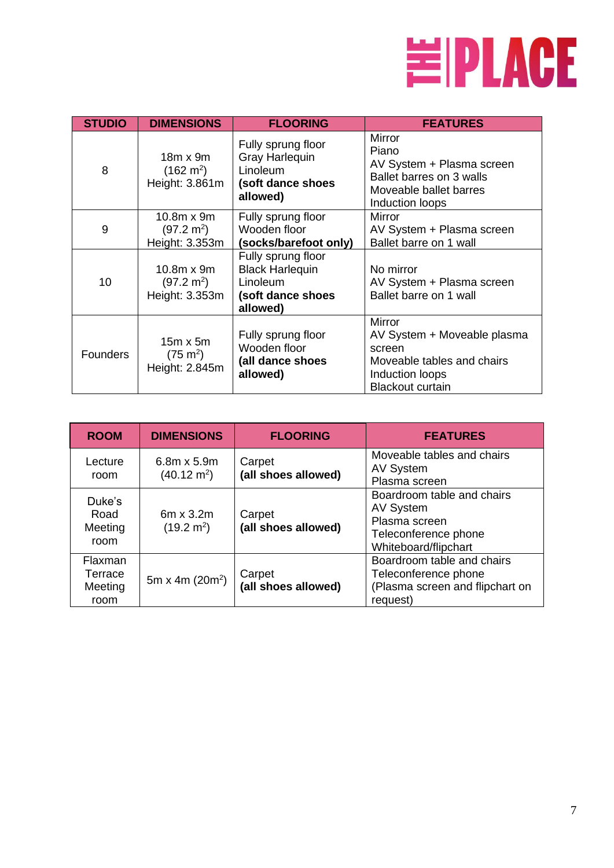

| <b>STUDIO</b>   | <b>DIMENSIONS</b>                                           | <b>FLOORING</b>                                                                           | <b>FEATURES</b>                                                                                                                    |
|-----------------|-------------------------------------------------------------|-------------------------------------------------------------------------------------------|------------------------------------------------------------------------------------------------------------------------------------|
| 8               | $18m \times 9m$<br>$(162 \text{ m}^2)$<br>Height: 3.861m    | Fully sprung floor<br><b>Gray Harlequin</b><br>Linoleum<br>(soft dance shoes<br>allowed)  | Mirror<br>Piano<br>AV System + Plasma screen<br>Ballet barres on 3 walls<br>Moveable ballet barres<br>Induction loops              |
| 9               | $10.8m \times 9m$<br>$(97.2 \text{ m}^2)$<br>Height: 3.353m | Fully sprung floor<br>Wooden floor<br>(socks/barefoot only)                               | Mirror<br>AV System + Plasma screen<br>Ballet barre on 1 wall                                                                      |
| 10              | $10.8m \times 9m$<br>$(97.2 \text{ m}^2)$<br>Height: 3.353m | Fully sprung floor<br><b>Black Harlequin</b><br>Linoleum<br>(soft dance shoes<br>allowed) | No mirror<br>AV System + Plasma screen<br>Ballet barre on 1 wall                                                                   |
| <b>Founders</b> | $15m \times 5m$<br>$(75 \text{ m}^2)$<br>Height: 2.845m     | Fully sprung floor<br>Wooden floor<br>(all dance shoes<br>allowed)                        | <b>Mirror</b><br>AV System + Moveable plasma<br>screen<br>Moveable tables and chairs<br>Induction loops<br><b>Blackout curtain</b> |

| <b>ROOM</b>                           | <b>DIMENSIONS</b>                           | <b>FLOORING</b>               | <b>FEATURES</b>                                                                                          |
|---------------------------------------|---------------------------------------------|-------------------------------|----------------------------------------------------------------------------------------------------------|
| Lecture<br>room                       | $6.8m \times 5.9m$<br>$(40.12 \text{ m}^2)$ | Carpet<br>(all shoes allowed) | Moveable tables and chairs<br>AV System<br>Plasma screen                                                 |
| Duke's<br>Road<br>Meeting<br>room     | $6m \times 3.2m$<br>$(19.2 \text{ m}^2)$    | Carpet<br>(all shoes allowed) | Boardroom table and chairs<br>AV System<br>Plasma screen<br>Teleconference phone<br>Whiteboard/flipchart |
| Flaxman<br>Terrace<br>Meeting<br>room | 5m x 4m $(20m^2)$                           | Carpet<br>(all shoes allowed) | Boardroom table and chairs<br>Teleconference phone<br>(Plasma screen and flipchart on<br>request)        |